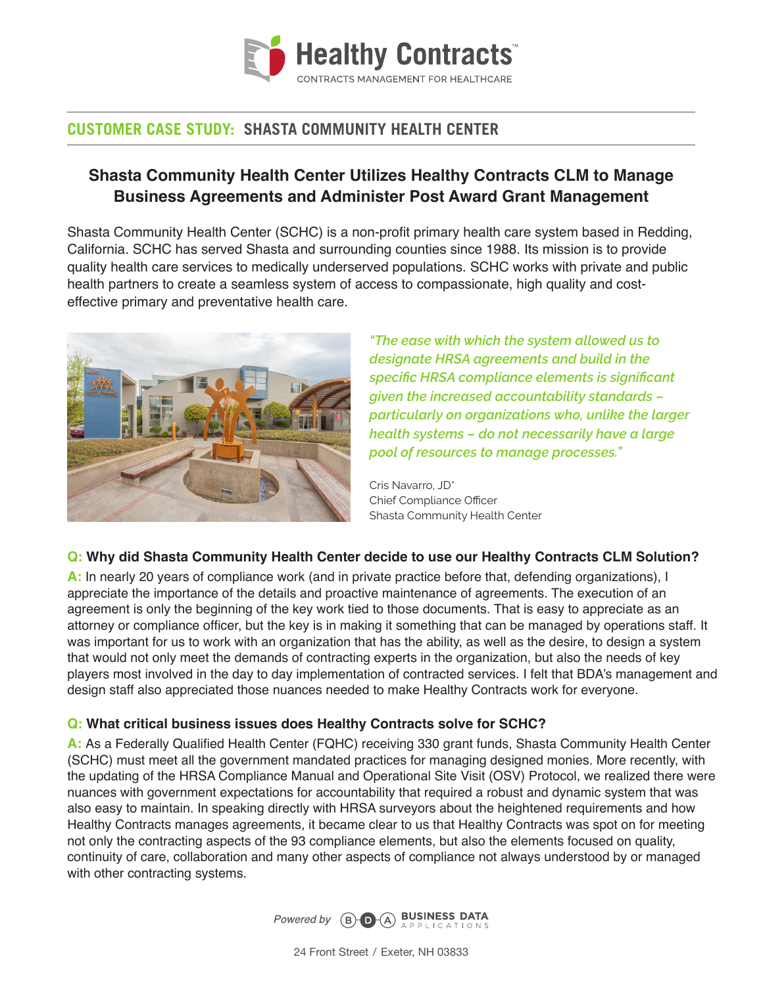

# **CUSTOMER CASE STUDY: SHASTA COMMUNITY HEALTH CENTER**

## **Shasta Community Health Center Utilizes Healthy Contracts CLM to Manage Business Agreements and Administer Post Award Grant Management**

Shasta Community Health Center (SCHC) is a non-profit primary health care system based in Redding, California. SCHC has served Shasta and surrounding counties since 1988. Its mission is to provide quality health care services to medically underserved populations. SCHC works with private and public health partners to create a seamless system of access to compassionate, high quality and costeffective primary and preventative health care.



*"The ease with which the system allowed us to designate HRSA agreements and build in the specific HRSA compliance elements is significant given the increased accountability standards – particularly on organizations who, unlike the larger health systems – do not necessarily have a large pool of resources to manage processes."*

Cris Navarro, JD\* Chief Compliance Officer Shasta Community Health Center

#### **Q: Why did Shasta Community Health Center decide to use our Healthy Contracts CLM Solution?**

**A:** In nearly 20 years of compliance work (and in private practice before that, defending organizations), I appreciate the importance of the details and proactive maintenance of agreements. The execution of an agreement is only the beginning of the key work tied to those documents. That is easy to appreciate as an attorney or compliance officer, but the key is in making it something that can be managed by operations staff. It was important for us to work with an organization that has the ability, as well as the desire, to design a system that would not only meet the demands of contracting experts in the organization, but also the needs of key players most involved in the day to day implementation of contracted services. I felt that BDA's management and design staff also appreciated those nuances needed to make Healthy Contracts work for everyone.

#### **Q: What critical business issues does Healthy Contracts solve for SCHC?**

**A:** As a Federally Qualified Health Center (FQHC) receiving 330 grant funds, Shasta Community Health Center (SCHC) must meet all the government mandated practices for managing designed monies. More recently, with the updating of the HRSA Compliance Manual and Operational Site Visit (OSV) Protocol, we realized there were nuances with government expectations for accountability that required a robust and dynamic system that was also easy to maintain. In speaking directly with HRSA surveyors about the heightened requirements and how Healthy Contracts manages agreements, it became clear to us that Healthy Contracts was spot on for meeting not only the contracting aspects of the 93 compliance elements, but also the elements focused on quality, continuity of care, collaboration and many other aspects of compliance not always understood by or managed with other contracting systems.